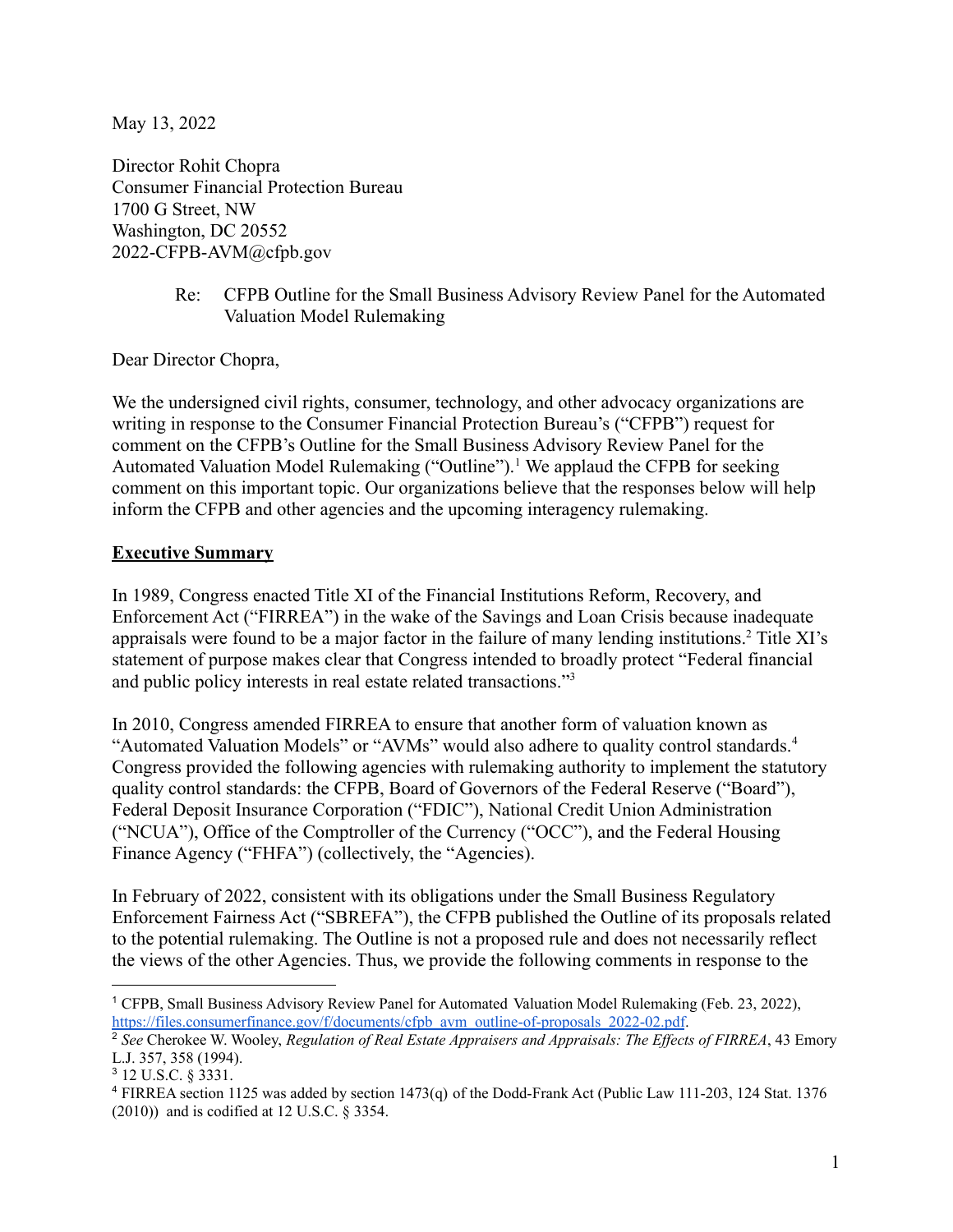May 13, 2022

Director Rohit Chopra Consumer Financial Protection Bureau 1700 G Street, NW Washington, DC 20552 2022-CFPB-AVM@cfpb.gov

> Re: CFPB Outline for the Small Business Advisory Review Panel for the Automated Valuation Model Rulemaking

Dear Director Chopra,

We the undersigned civil rights, consumer, technology, and other advocacy organizations are writing in response to the Consumer Financial Protection Bureau's ("CFPB") request for comment on the CFPB's Outline for the Small Business Advisory Review Panel for the Automated Valuation Model Rulemaking ("Outline").<sup>1</sup> We applaud the CFPB for seeking comment on this important topic. Our organizations believe that the responses below will help inform the CFPB and other agencies and the upcoming interagency rulemaking.

#### **Executive Summary**

In 1989, Congress enacted Title XI of the Financial Institutions Reform, Recovery, and Enforcement Act ("FIRREA") in the wake of the Savings and Loan Crisis because inadequate appraisals were found to be a major factor in the failure of many lending institutions.<sup>2</sup> Title XI's statement of purpose makes clear that Congress intended to broadly protect "Federal financial and public policy interests in real estate related transactions."<sup>3</sup>

In 2010, Congress amended FIRREA to ensure that another form of valuation known as "Automated Valuation Models" or "AVMs" would also adhere to quality control standards.<sup>4</sup> Congress provided the following agencies with rulemaking authority to implement the statutory quality control standards: the CFPB, Board of Governors of the Federal Reserve ("Board"), Federal Deposit Insurance Corporation ("FDIC"), National Credit Union Administration ("NCUA"), Office of the Comptroller of the Currency ("OCC"), and the Federal Housing Finance Agency ("FHFA") (collectively, the "Agencies).

In February of 2022, consistent with its obligations under the Small Business Regulatory Enforcement Fairness Act ("SBREFA"), the CFPB published the Outline of its proposals related to the potential rulemaking. The Outline is not a proposed rule and does not necessarily reflect the views of the other Agencies. Thus, we provide the following comments in response to the

<sup>1</sup> CFPB, Small Business Advisory Review Panel for Automated Valuation Model Rulemaking (Feb. 23, 2022), [https://files.consumerfinance.gov/f/documents/cfpb\\_avm\\_outline-of-proposals\\_2022-02.pdf](https://files.consumerfinance.gov/f/documents/cfpb_avm_outline-of-proposals_2022-02.pdf).

<sup>2</sup> *See* Cherokee W. Wooley, *Regulation of Real Estate Appraisers and Appraisals: The Ef ects of FIRREA*, 43 Emory L.J. 357, 358 (1994).

<sup>3</sup> 12 U.S.C. § 3331.

<sup>4</sup> FIRREA section 1125 was added by section 1473(q) of the Dodd-Frank Act (Public Law 111-203, 124 Stat. 1376 (2010)) and is codified at 12 U.S.C. § 3354.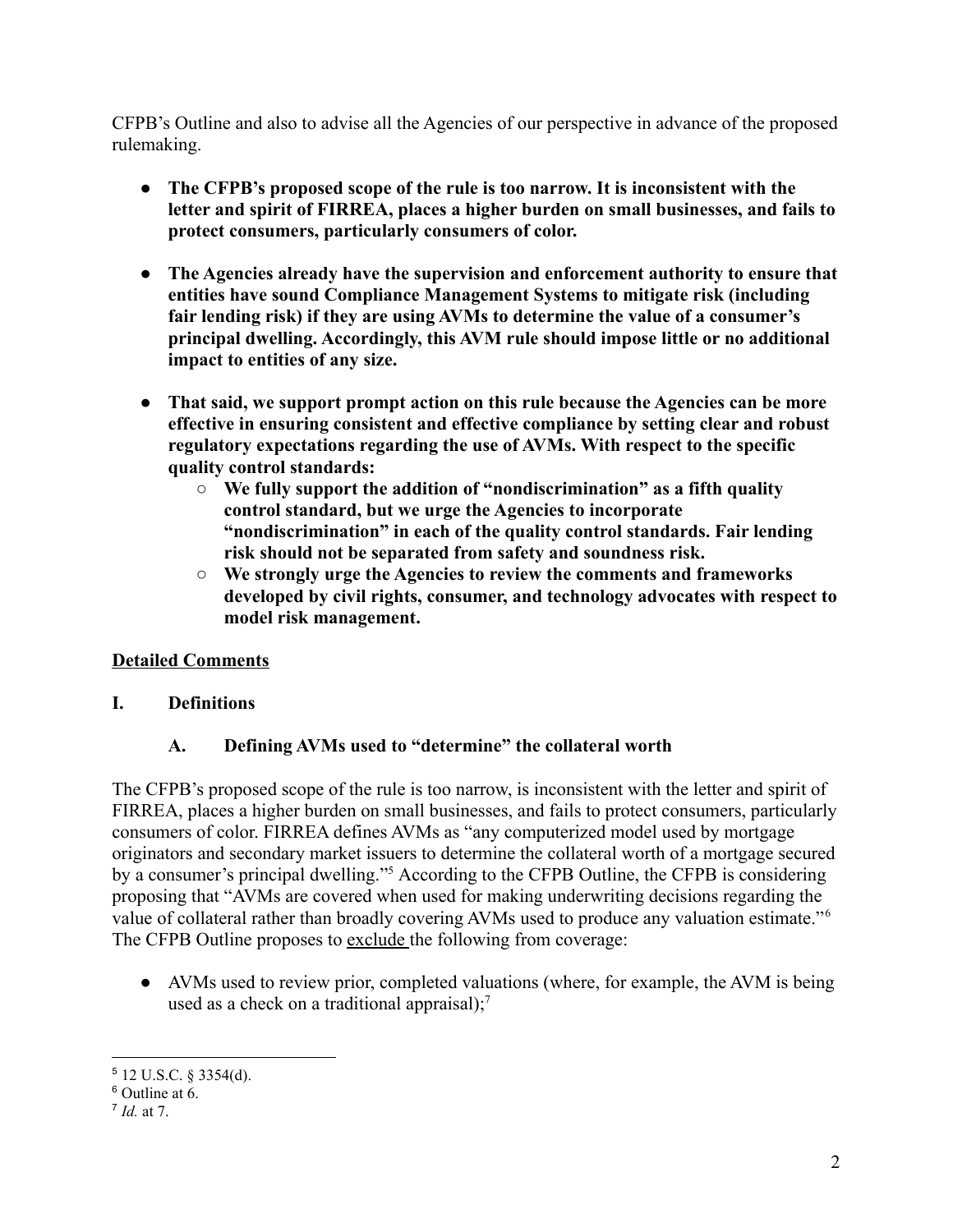CFPB's Outline and also to advise all the Agencies of our perspective in advance of the proposed rulemaking.

- **● The CFPB's proposed scope of the rule is too narrow. It is inconsistent with the letter and spirit of FIRREA, places a higher burden on small businesses, and fails to protect consumers, particularly consumers of color.**
- **● The Agencies already have the supervision and enforcement authority to ensure that entities have sound Compliance Management Systems to mitigate risk (including fair lending risk) if they are using AVMs to determine the value of a consumer's principal dwelling. Accordingly, this AVM rule should impose little or no additional impact to entities of any size.**
- **● That said, we support prompt action on this rule because the Agencies can be more effective in ensuring consistent and effective compliance by setting clear and robust regulatory expectations regarding the use of AVMs. With respect to the specific quality control standards:**
	- **○ We fully support the addition of "nondiscrimination" as a fifth quality control standard, but we urge the Agencies to incorporate "nondiscrimination" in each of the quality control standards. Fair lending risk should not be separated from safety and soundness risk.**
	- **○ We strongly urge the Agencies to review the comments and frameworks developed by civil rights, consumer, and technology advocates with respect to model risk management.**

## **Detailed Comments**

**I. Definitions**

## **A. Defining AVMs used to "determine" the collateral worth**

The CFPB's proposed scope of the rule is too narrow, is inconsistent with the letter and spirit of FIRREA, places a higher burden on small businesses, and fails to protect consumers, particularly consumers of color. FIRREA defines AVMs as "any computerized model used by mortgage originators and secondary market issuers to determine the collateral worth of a mortgage secured by a consumer's principal dwelling."<sup>5</sup> According to the CFPB Outline, the CFPB is considering proposing that "AVMs are covered when used for making underwriting decisions regarding the value of collateral rather than broadly covering AVMs used to produce any valuation estimate."<sup>6</sup> The CFPB Outline proposes to exclude the following from coverage:

• AVMs used to review prior, completed valuations (where, for example, the AVM is being used as a check on a traditional appraisal);<sup>7</sup>

<sup>5</sup> 12 U.S.C. § 3354(d).

<sup>6</sup> Outline at 6.

<sup>7</sup> *Id.* at 7.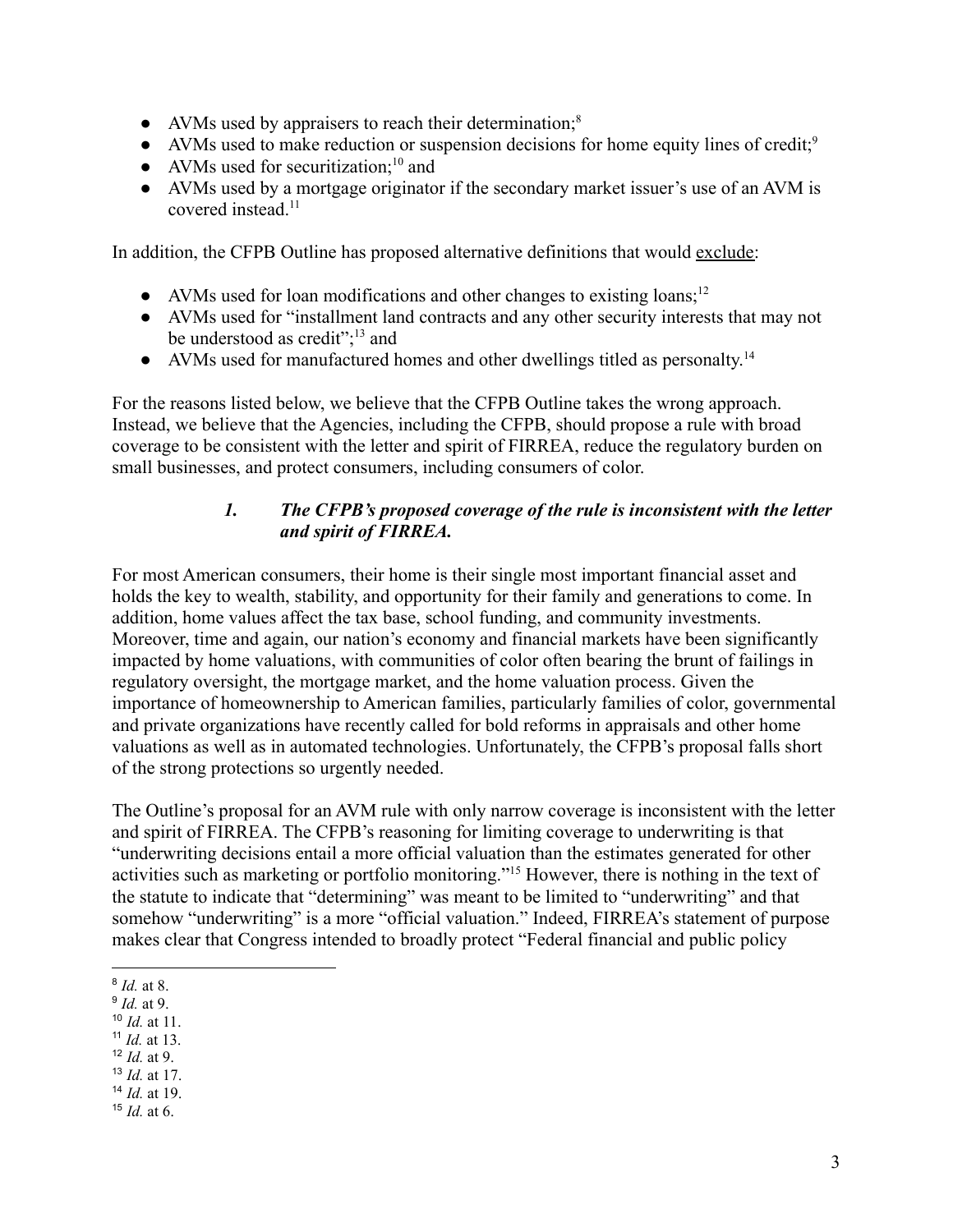- AVMs used by appraisers to reach their determination; $\delta$
- AVMs used to make reduction or suspension decisions for home equity lines of credit;<sup>9</sup>
- AVMs used for securitization; $^{10}$  and
- AVMs used by a mortgage originator if the secondary market issuer's use of an AVM is covered instead.<sup>11</sup>

In addition, the CFPB Outline has proposed alternative definitions that would exclude:

- AVMs used for loan modifications and other changes to existing loans;<sup>12</sup>
- AVMs used for "installment land contracts and any other security interests that may not be understood as credit";<sup>13</sup> and
- AVMs used for manufactured homes and other dwellings titled as personalty.<sup>14</sup>

For the reasons listed below, we believe that the CFPB Outline takes the wrong approach. Instead, we believe that the Agencies, including the CFPB, should propose a rule with broad coverage to be consistent with the letter and spirit of FIRREA, reduce the regulatory burden on small businesses, and protect consumers, including consumers of color.

#### *1. The CFPB's proposed coverage of the rule is inconsistent with the letter and spirit of FIRREA.*

For most American consumers, their home is their single most important financial asset and holds the key to wealth, stability, and opportunity for their family and generations to come. In addition, home values affect the tax base, school funding, and community investments. Moreover, time and again, our nation's economy and financial markets have been significantly impacted by home valuations, with communities of color often bearing the brunt of failings in regulatory oversight, the mortgage market, and the home valuation process. Given the importance of homeownership to American families, particularly families of color, governmental and private organizations have recently called for bold reforms in appraisals and other home valuations as well as in automated technologies. Unfortunately, the CFPB's proposal falls short of the strong protections so urgently needed.

The Outline's proposal for an AVM rule with only narrow coverage is inconsistent with the letter and spirit of FIRREA. The CFPB's reasoning for limiting coverage to underwriting is that "underwriting decisions entail a more official valuation than the estimates generated for other activities such as marketing or portfolio monitoring."<sup>15</sup> However, there is nothing in the text of the statute to indicate that "determining" was meant to be limited to "underwriting" and that somehow "underwriting" is a more "official valuation." Indeed, FIRREA's statement of purpose makes clear that Congress intended to broadly protect "Federal financial and public policy

- 11 *Id.* at 13.
- <sup>12</sup> *Id.* at 9.
- <sup>13</sup> *Id.* at 17.
- <sup>14</sup> *Id.* at 19.
- <sup>15</sup> *Id.* at 6.

<sup>8</sup> *Id.* at 8.

<sup>9</sup> *Id.* at 9.

<sup>10</sup> *Id.* at 11.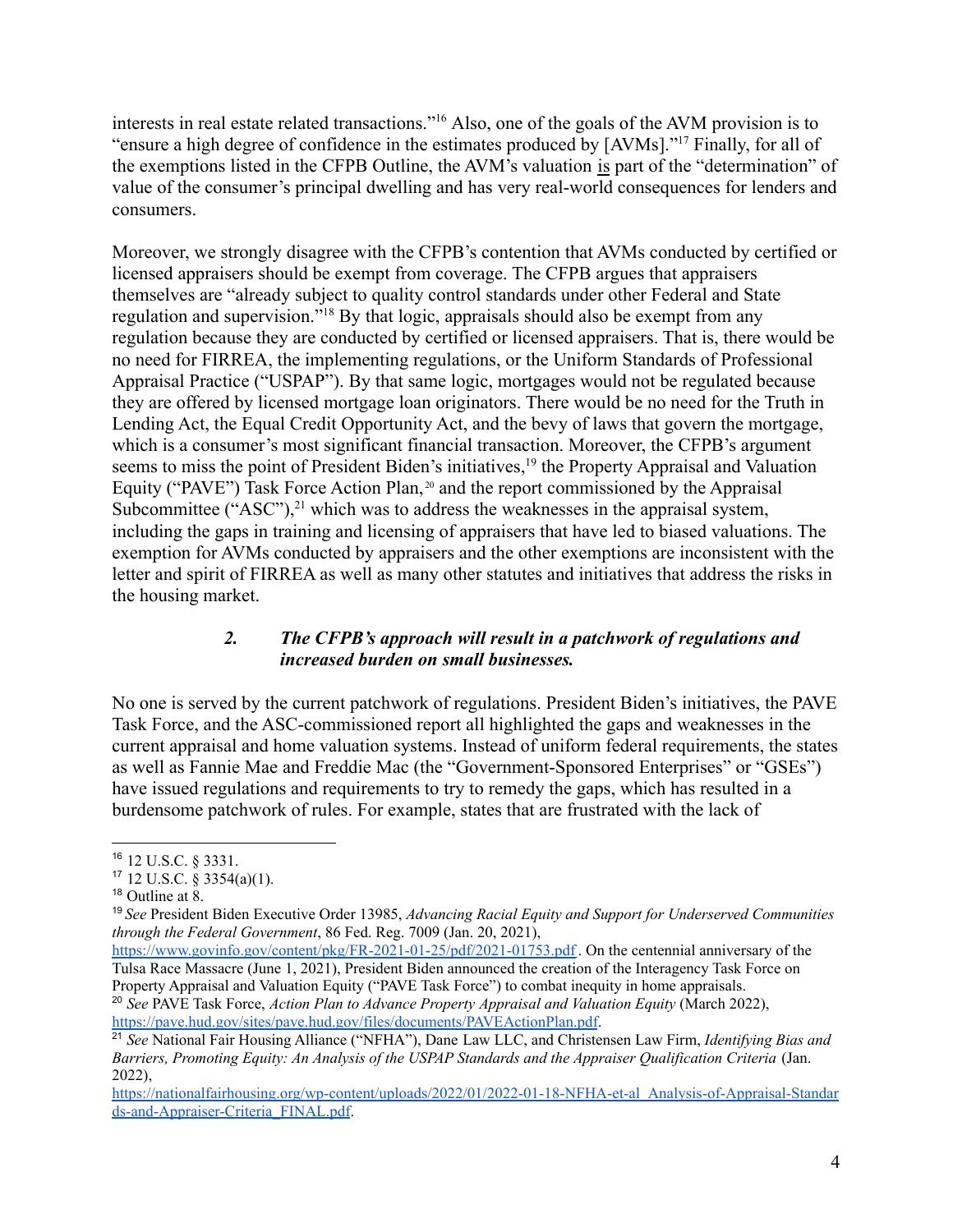interests in real estate related transactions."<sup>16</sup> Also, one of the goals of the AVM provision is to "ensure a high degree of confidence in the estimates produced by [AVMs]."<sup>17</sup> Finally, for all of the exemptions listed in the CFPB Outline, the AVM's valuation is part of the "determination" of value of the consumer's principal dwelling and has very real-world consequences for lenders and consumers.

Moreover, we strongly disagree with the CFPB's contention that AVMs conducted by certified or licensed appraisers should be exempt from coverage. The CFPB argues that appraisers themselves are "already subject to quality control standards under other Federal and State regulation and supervision."<sup>18</sup> By that logic, appraisals should also be exempt from any regulation because they are conducted by certified or licensed appraisers. That is, there would be no need for FIRREA, the implementing regulations, or the Uniform Standards of Professional Appraisal Practice ("USPAP"). By that same logic, mortgages would not be regulated because they are offered by licensed mortgage loan originators. There would be no need for the Truth in Lending Act, the Equal Credit Opportunity Act, and the bevy of laws that govern the mortgage, which is a consumer's most significant financial transaction. Moreover, the CFPB's argument seems to miss the point of President Biden's initiatives,<sup>19</sup> the Property Appraisal and Valuation Equity ("PAVE") Task Force Action Plan,<sup>20</sup> and the report commissioned by the Appraisal Subcommittee ("ASC"), $^{21}$  which was to address the weaknesses in the appraisal system, including the gaps in training and licensing of appraisers that have led to biased valuations. The exemption for AVMs conducted by appraisers and the other exemptions are inconsistent with the letter and spirit of FIRREA as well as many other statutes and initiatives that address the risks in the housing market.

#### *2. The CFPB's approach will result in a patchwork of regulations and increased burden on small businesses.*

No one is served by the current patchwork of regulations. President Biden's initiatives, the PAVE Task Force, and the ASC-commissioned report all highlighted the gaps and weaknesses in the current appraisal and home valuation systems. Instead of uniform federal requirements, the states as well as Fannie Mae and Freddie Mac (the "Government-Sponsored Enterprises" or "GSEs") have issued regulations and requirements to try to remedy the gaps, which has resulted in a burdensome patchwork of rules. For example, states that are frustrated with the lack of

<sup>16</sup> 12 U.S.C. § 3331.

 $17$  12 U.S.C. § 3354(a)(1).

<sup>&</sup>lt;sup>18</sup> Outline at 8.

<sup>19</sup> *See* President Biden Executive Order 13985, *Advancing Racial Equity and Support for Underserved Communities through the Federal Government*, 86 Fed. Reg. 7009 (Jan. 20, 2021),

<sup>20</sup> *See* PAVE Task Force, *Action Plan to Advance Property Appraisal and Valuation Equity* (March 2022), <https://pave.hud.gov/sites/pave.hud.gov/files/documents/PAVEActionPlan.pdf>. <https://www.govinfo.gov/content/pkg/FR-2021-01-25/pdf/2021-01753.pdf>. On the centennial anniversary of the Tulsa Race Massacre (June 1, 2021), President Biden announced the creation of the Interagency Task Force on Property Appraisal and Valuation Equity ("PAVE Task Force") to combat inequity in home appraisals.

<sup>21</sup> *See* National Fair Housing Alliance ("NFHA"), Dane Law LLC, and Christensen Law Firm, *Identifying Bias and Barriers, Promoting Equity: An Analysis of the USPAP Standards and the Appraiser Qualification Criteria* (Jan. 2022),

[https://nationalfairhousing.org/wp-content/uploads/2022/01/2022-01-18-NFHA-et-al\\_Analysis-of-Appraisal-Standar](https://nationalfairhousing.org/wp-content/uploads/2022/01/2022-01-18-NFHA-et-al_Analysis-of-Appraisal-Standards-and-Appraiser-Criteria_FINAL.pdf) [ds-and-Appraiser-Criteria\\_FINAL.pdf](https://nationalfairhousing.org/wp-content/uploads/2022/01/2022-01-18-NFHA-et-al_Analysis-of-Appraisal-Standards-and-Appraiser-Criteria_FINAL.pdf).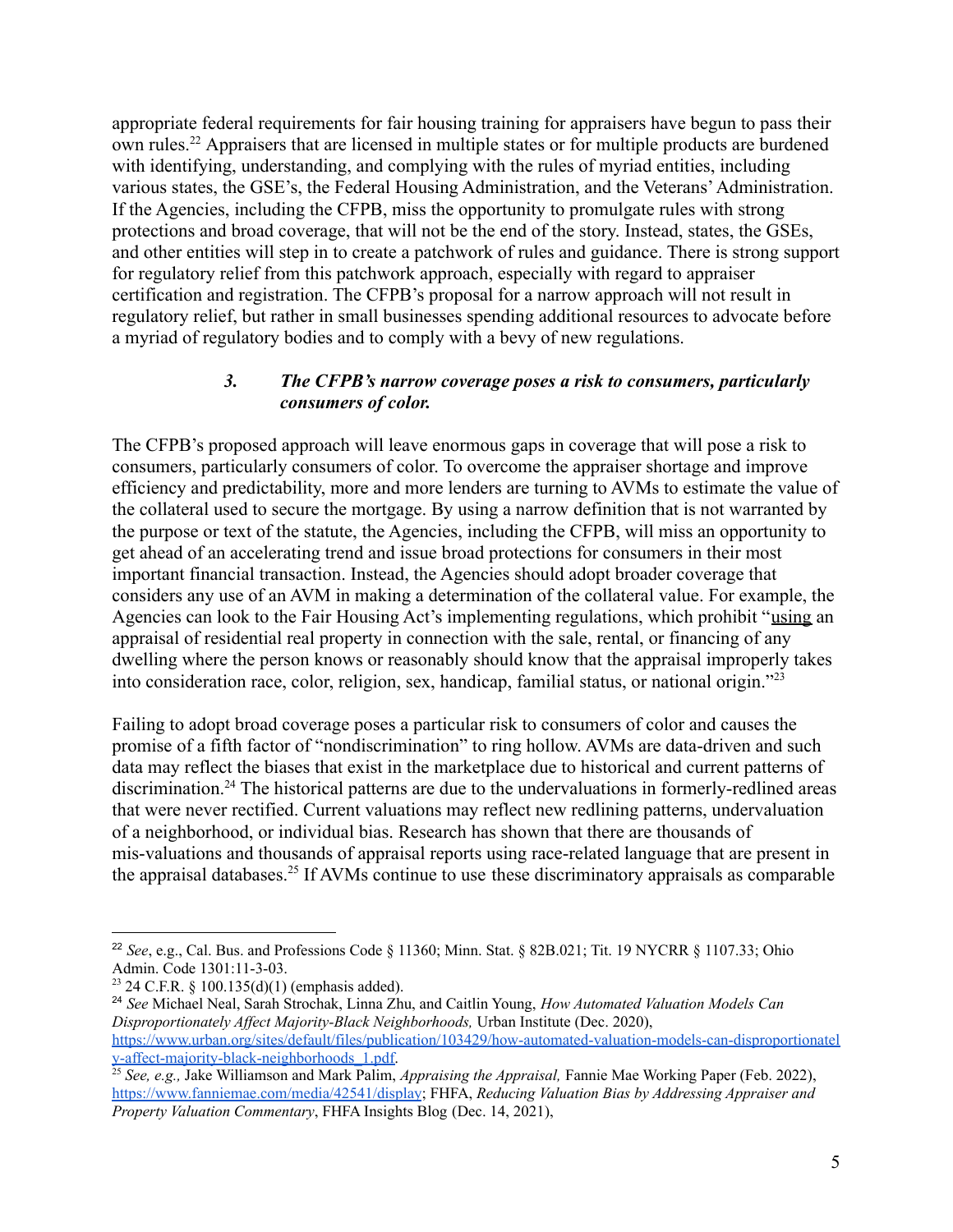appropriate federal requirements for fair housing training for appraisers have begun to pass their own rules.<sup>22</sup> Appraisers that are licensed in multiple states or for multiple products are burdened with identifying, understanding, and complying with the rules of myriad entities, including various states, the GSE's, the Federal Housing Administration, and the Veterans'Administration. If the Agencies, including the CFPB, miss the opportunity to promulgate rules with strong protections and broad coverage, that will not be the end of the story. Instead, states, the GSEs, and other entities will step in to create a patchwork of rules and guidance. There is strong support for regulatory relief from this patchwork approach, especially with regard to appraiser certification and registration. The CFPB's proposal for a narrow approach will not result in regulatory relief, but rather in small businesses spending additional resources to advocate before a myriad of regulatory bodies and to comply with a bevy of new regulations.

#### *3. The CFPB's narrow coverage poses a risk to consumers, particularly consumers of color.*

The CFPB's proposed approach will leave enormous gaps in coverage that will pose a risk to consumers, particularly consumers of color. To overcome the appraiser shortage and improve efficiency and predictability, more and more lenders are turning to AVMs to estimate the value of the collateral used to secure the mortgage. By using a narrow definition that is not warranted by the purpose or text of the statute, the Agencies, including the CFPB, will miss an opportunity to get ahead of an accelerating trend and issue broad protections for consumers in their most important financial transaction. Instead, the Agencies should adopt broader coverage that considers any use of an AVM in making a determination of the collateral value. For example, the Agencies can look to the Fair Housing Act's implementing regulations, which prohibit "using an appraisal of residential real property in connection with the sale, rental, or financing of any dwelling where the person knows or reasonably should know that the appraisal improperly takes into consideration race, color, religion, sex, handicap, familial status, or national origin."<sup>23</sup>

Failing to adopt broad coverage poses a particular risk to consumers of color and causes the promise of a fifth factor of "nondiscrimination" to ring hollow. AVMs are data-driven and such data may reflect the biases that exist in the marketplace due to historical and current patterns of discrimination.<sup>24</sup> The historical patterns are due to the undervaluations in formerly-redlined areas that were never rectified. Current valuations may reflect new redlining patterns, undervaluation of a neighborhood, or individual bias. Research has shown that there are thousands of mis-valuations and thousands of appraisal reports using race-related language that are present in the appraisal databases.<sup>25</sup> If AVMs continue to use these discriminatory appraisals as comparable

<sup>24</sup> *See* Michael Neal, Sarah Strochak, Linna Zhu, and Caitlin Young, *How Automated Valuation Models Can Disproportionately Af ect Majority-Black Neighborhoods,* Urban Institute (Dec. 2020), [https://www.urban.org/sites/default/files/publication/103429/how-automated-valuation-models-can-disproportionatel](https://www.urban.org/sites/default/files/publication/103429/how-automated-valuation-models-can-disproportionately-affect-majority-black-neighborhoods_1.pdf) [y-affect-majority-black-neighborhoods\\_1.pdf.](https://www.urban.org/sites/default/files/publication/103429/how-automated-valuation-models-can-disproportionately-affect-majority-black-neighborhoods_1.pdf)

<sup>22</sup> *See*, e.g., Cal. Bus. and Professions Code § 11360; Minn. Stat. § 82B.021; Tit. 19 NYCRR § 1107.33; Ohio Admin. Code 1301:11-3-03.

<sup>&</sup>lt;sup>23</sup> 24 C.F.R. § 100.135(d)(1) (emphasis added).

<sup>25</sup> *See, e.g.,* Jake Williamson and Mark Palim, *Appraising the Appraisal,* Fannie Mae Working Paper (Feb. 2022), <https://www.fanniemae.com/media/42541/display>; FHFA, *Reducing Valuation Bias by Addressing Appraiser and Property Valuation Commentary*, FHFA Insights Blog (Dec. 14, 2021),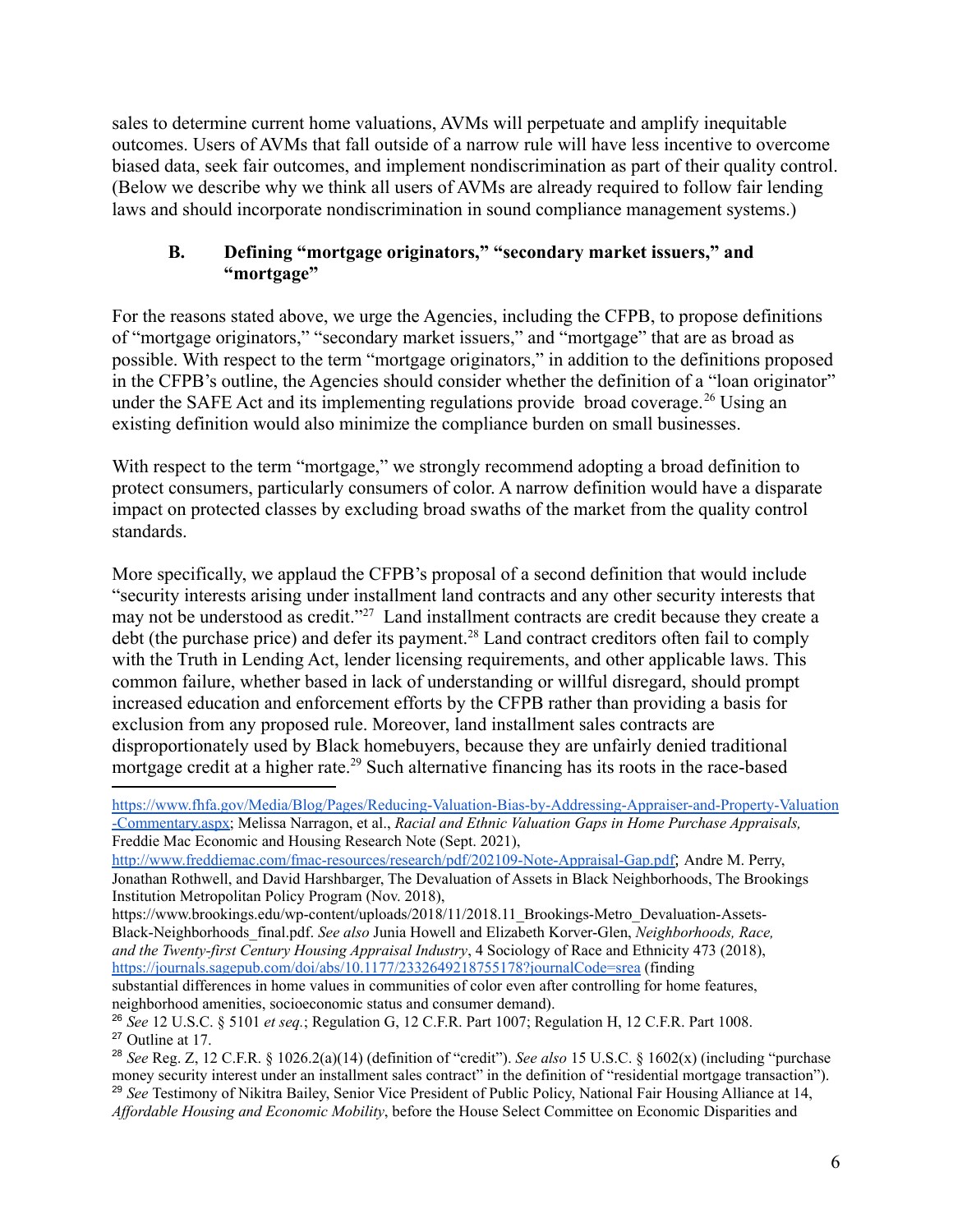sales to determine current home valuations, AVMs will perpetuate and amplify inequitable outcomes. Users of AVMs that fall outside of a narrow rule will have less incentive to overcome biased data, seek fair outcomes, and implement nondiscrimination as part of their quality control. (Below we describe why we think all users of AVMs are already required to follow fair lending laws and should incorporate nondiscrimination in sound compliance management systems.)

#### **B. Defining "mortgage originators," "secondary market issuers," and "mortgage"**

For the reasons stated above, we urge the Agencies, including the CFPB, to propose definitions of "mortgage originators," "secondary market issuers," and "mortgage" that are as broad as possible. With respect to the term "mortgage originators," in addition to the definitions proposed in the CFPB's outline, the Agencies should consider whether the definition of a "loan originator" under the SAFE Act and its implementing regulations provide broad coverage.<sup>26</sup> Using an existing definition would also minimize the compliance burden on small businesses.

With respect to the term "mortgage," we strongly recommend adopting a broad definition to protect consumers, particularly consumers of color. A narrow definition would have a disparate impact on protected classes by excluding broad swaths of the market from the quality control standards.

More specifically, we applaud the CFPB's proposal of a second definition that would include "security interests arising under installment land contracts and any other security interests that may not be understood as credit."<sup>27</sup> Land installment contracts are credit because they create a debt (the purchase price) and defer its payment.<sup>28</sup> Land contract creditors often fail to comply with the Truth in Lending Act, lender licensing requirements, and other applicable laws. This common failure, whether based in lack of understanding or willful disregard, should prompt increased education and enforcement efforts by the CFPB rather than providing a basis for exclusion from any proposed rule. Moreover, land installment sales contracts are disproportionately used by Black homebuyers, because they are unfairly denied traditional mortgage credit at a higher rate.<sup>29</sup> Such alternative financing has its roots in the race-based

[https://www.fhfa.gov/Media/Blog/Pages/Reducing-Valuation-Bias-by-Addressing-Appraiser-and-Property-Valuation](https://www.fhfa.gov/Media/Blog/Pages/Reducing-Valuation-Bias-by-Addressing-Appraiser-and-Property-Valuation-Commentary.aspx) [-Commentary.aspx;](https://www.fhfa.gov/Media/Blog/Pages/Reducing-Valuation-Bias-by-Addressing-Appraiser-and-Property-Valuation-Commentary.aspx) Melissa Narragon, et al., *Racial and Ethnic Valuation Gaps in Home Purchase Appraisals,* Freddie Mac Economic and Housing Research Note (Sept. 2021),

<http://www.freddiemac.com/fmac-resources/research/pdf/202109-Note-Appraisal-Gap.pdf>; Andre M. Perry, Jonathan Rothwell, and David Harshbarger, The Devaluation of Assets in Black Neighborhoods, The Brookings Institution Metropolitan Policy Program (Nov. 2018),

https://www.brookings.edu/wp-content/uploads/2018/11/2018.11\_Brookings-Metro\_Devaluation-Assets-Black-Neighborhoods\_final.pdf. *See also* Junia Howell and Elizabeth Korver-Glen, *Neighborhoods, Race, and the Twenty-first Century Housing Appraisal Industry*, 4 Sociology of Race and Ethnicity 473 (2018), <https://journals.sagepub.com/doi/abs/10.1177/2332649218755178?journalCode=srea> (finding

substantial differences in home values in communities of color even after controlling for home features, neighborhood amenities, socioeconomic status and consumer demand).

<sup>27</sup> Outline at 17. <sup>26</sup> *See* 12 U.S.C. § 5101 *et seq.*; Regulation G, 12 C.F.R. Part 1007; Regulation H, 12 C.F.R. Part 1008.

<sup>29</sup> *See* Testimony of Nikitra Bailey, Senior Vice President of Public Policy, National Fair Housing Alliance at 14, *Af ordable Housing and Economic Mobility*, before the House Select Committee on Economic Disparities and <sup>28</sup> *See* Reg. Z, 12 C.F.R. § 1026.2(a)(14) (definition of "credit"). *See also* 15 U.S.C. § 1602(x) (including "purchase money security interest under an installment sales contract" in the definition of "residential mortgage transaction").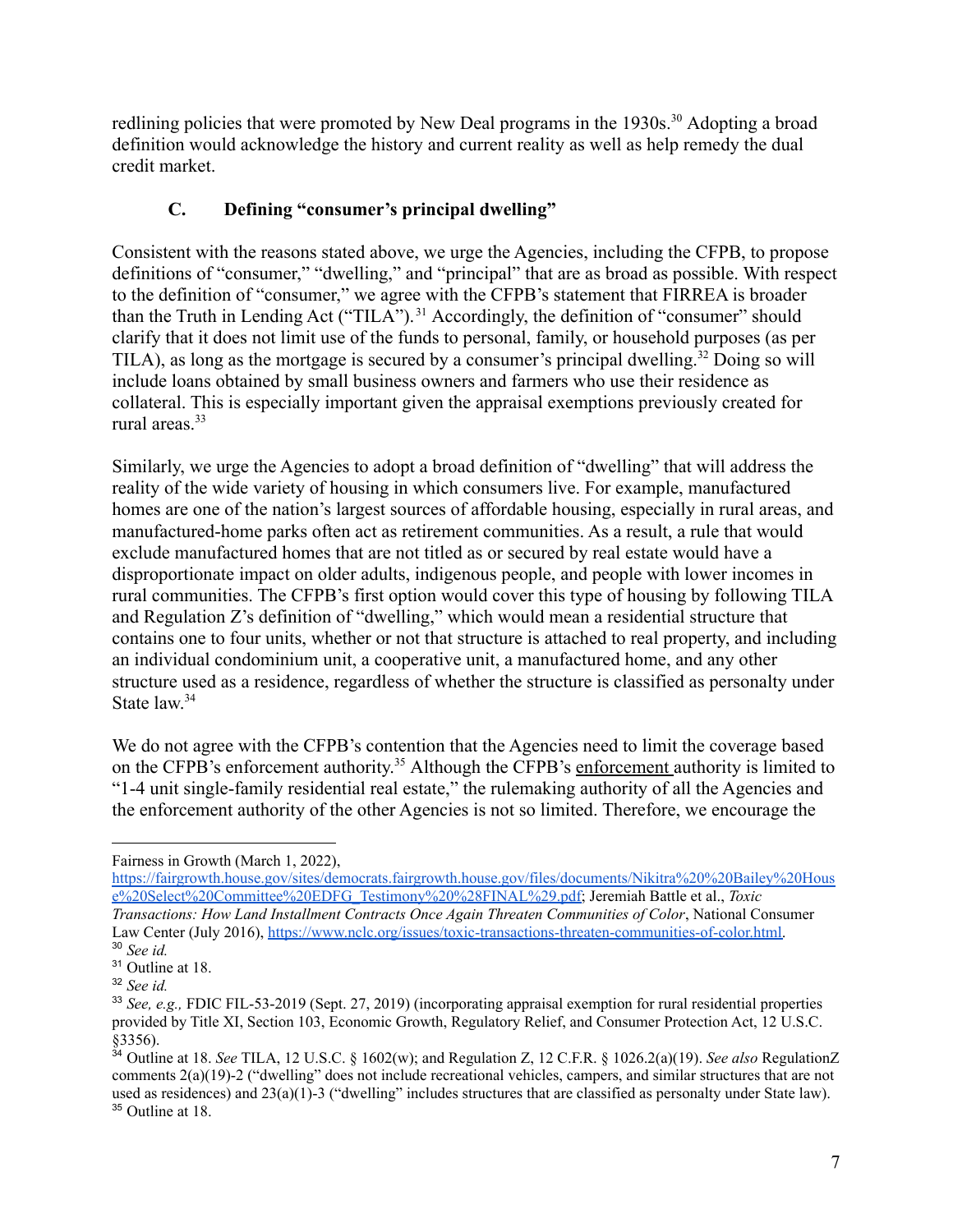redlining policies that were promoted by New Deal programs in the 1930s.<sup>30</sup> Adopting a broad definition would acknowledge the history and current reality as well as help remedy the dual credit market.

# **C. Defining "consumer's principal dwelling"**

Consistent with the reasons stated above, we urge the Agencies, including the CFPB, to propose definitions of "consumer," "dwelling," and "principal" that are as broad as possible. With respect to the definition of "consumer," we agree with the CFPB's statement that FIRREA is broader than the Truth in Lending Act ("TILA"). <sup>31</sup> Accordingly, the definition of "consumer" should clarify that it does not limit use of the funds to personal, family, or household purposes (as per TILA), as long as the mortgage is secured by a consumer's principal dwelling.<sup>32</sup> Doing so will include loans obtained by small business owners and farmers who use their residence as collateral. This is especially important given the appraisal exemptions previously created for rural areas.<sup>33</sup>

Similarly, we urge the Agencies to adopt a broad definition of "dwelling" that will address the reality of the wide variety of housing in which consumers live. For example, manufactured homes are one of the nation's largest sources of affordable housing, especially in rural areas, and manufactured-home parks often act as retirement communities. As a result, a rule that would exclude manufactured homes that are not titled as or secured by real estate would have a disproportionate impact on older adults, indigenous people, and people with lower incomes in rural communities. The CFPB's first option would cover this type of housing by following TILA and Regulation Z's definition of "dwelling," which would mean a residential structure that contains one to four units, whether or not that structure is attached to real property, and including an individual condominium unit, a cooperative unit, a manufactured home, and any other structure used as a residence, regardless of whether the structure is classified as personalty under State law. 34

We do not agree with the CFPB's contention that the Agencies need to limit the coverage based on the CFPB's enforcement authority.<sup>35</sup> Although the CFPB's enforcement authority is limited to "1-4 unit single-family residential real estate," the rulemaking authority of all the Agencies and the enforcement authority of the other Agencies is not so limited. Therefore, we encourage the

Fairness in Growth (March 1, 2022),

<sup>30</sup> *See id.* [https://fairgrowth.house.gov/sites/democrats.fairgrowth.house.gov/files/documents/Nikitra%20%20Bailey%20Hous](https://fairgrowth.house.gov/sites/democrats.fairgrowth.house.gov/files/documents/Nikitra%20%20Bailey%20House%20Select%20Committee%20EDFG_Testimony%20%28FINAL%29.pdf) [e%20Select%20Committee%20EDFG\\_Testimony%20%28FINAL%29.pdf;](https://fairgrowth.house.gov/sites/democrats.fairgrowth.house.gov/files/documents/Nikitra%20%20Bailey%20House%20Select%20Committee%20EDFG_Testimony%20%28FINAL%29.pdf) Jeremiah Battle et al., *[Toxic](http://www.nclc.org/issues/toxic-transactions-threaten-communities-of-color.html) [Transactions:](http://www.nclc.org/issues/toxic-transactions-threaten-communities-of-color.html) How Land Installment Contracts Once Again Threaten Communities of Color*, National Consumer Law Center (July 2016), [https://www.nclc.org/issues/toxic-transactions-threaten-communities-of-color.html.](https://www.nclc.org/issues/toxic-transactions-threaten-communities-of-color.html)

<sup>&</sup>lt;sup>31</sup> Outline at 18.

<sup>32</sup> *See id.*

<sup>33</sup> *See, e.g.,* FDIC FIL-53-2019 (Sept. 27, 2019) (incorporating appraisal exemption for rural residential properties provided by Title XI, Section 103, Economic Growth, Regulatory Relief, and Consumer Protection Act, 12 U.S.C. §3356).

<sup>35</sup> Outline at 18. <sup>34</sup> Outline at 18. *See* TILA, 12 U.S.C. § 1602(w); and Regulation Z, 12 C.F.R. § 1026.2(a)(19). *See also* RegulationZ comments 2(a)(19)-2 ("dwelling" does not include recreational vehicles, campers, and similar structures that are not used as residences) and  $23(a)(1)-3$  ("dwelling" includes structures that are classified as personalty under State law).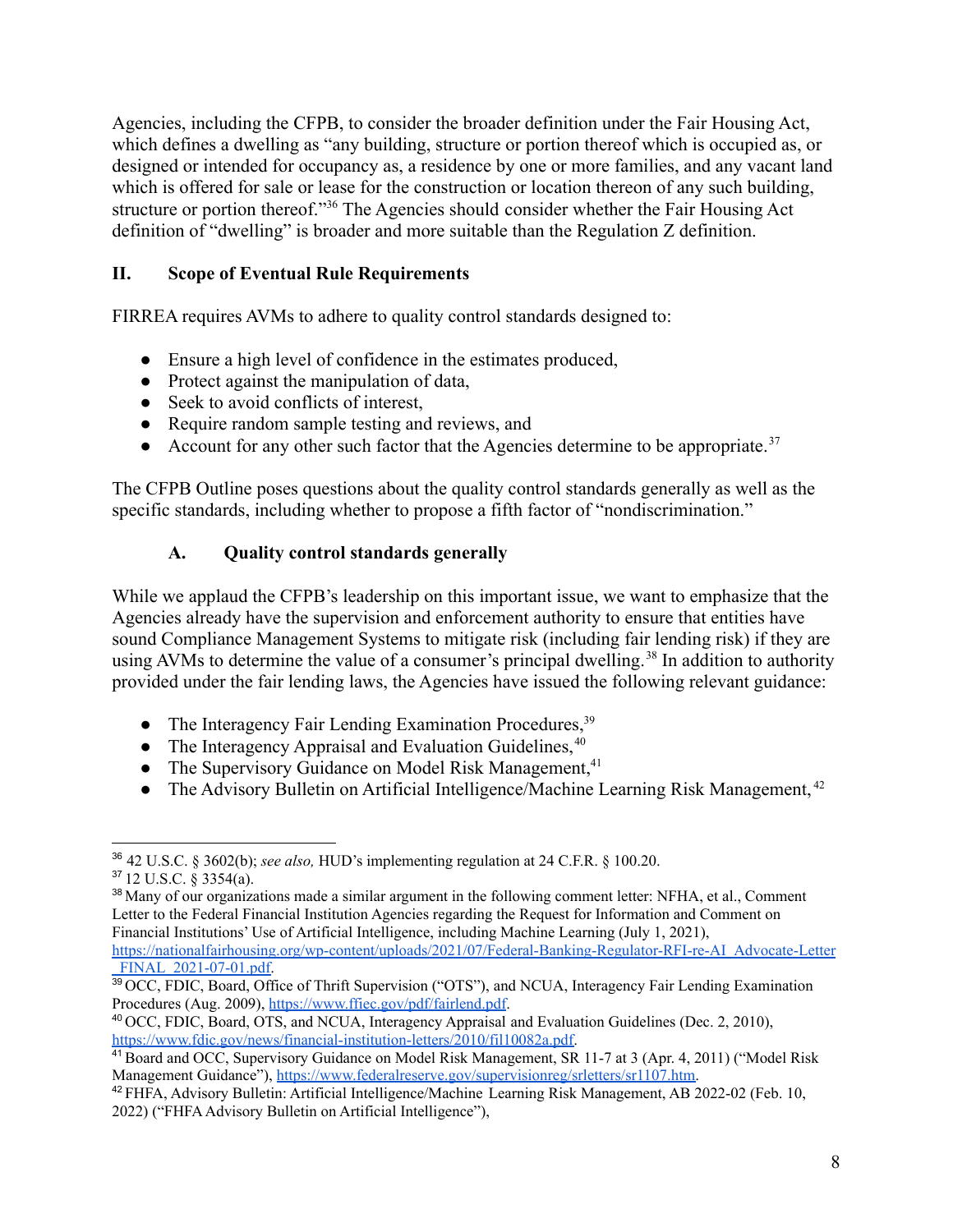Agencies, including the CFPB, to consider the broader definition under the Fair Housing Act, which defines a dwelling as "any building, structure or portion thereof which is occupied as, or designed or intended for occupancy as, a residence by one or more families, and any vacant land which is offered for sale or lease for the construction or location thereon of any such building, structure or portion thereof."<sup>36</sup> The Agencies should consider whether the Fair Housing Act definition of "dwelling" is broader and more suitable than the Regulation Z definition.

#### **II. Scope of Eventual Rule Requirements**

FIRREA requires AVMs to adhere to quality control standards designed to:

- Ensure a high level of confidence in the estimates produced,
- Protect against the manipulation of data,
- Seek to avoid conflicts of interest,
- Require random sample testing and reviews, and
- Account for any other such factor that the Agencies determine to be appropriate.<sup>37</sup>

The CFPB Outline poses questions about the quality control standards generally as well as the specific standards, including whether to propose a fifth factor of "nondiscrimination."

#### **A. Quality control standards generally**

While we applaud the CFPB's leadership on this important issue, we want to emphasize that the Agencies already have the supervision and enforcement authority to ensure that entities have sound Compliance Management Systems to mitigate risk (including fair lending risk) if they are using AVMs to determine the value of a consumer's principal dwelling.<sup>38</sup> In addition to authority provided under the fair lending laws, the Agencies have issued the following relevant guidance:

- The Interagency Fair Lending Examination Procedures, <sup>39</sup>
- The Interagency Appraisal and Evaluation Guidelines. $40$
- The Supervisory Guidance on Model Risk Management, $41$
- The Advisory Bulletin on Artificial Intelligence/Machine Learning Risk Management,  $42$

<sup>37</sup> 12 U.S.C. § 3354(a).

<sup>36</sup> 42 U.S.C. § 3602(b); *see also,* HUD's implementing regulation at 24 C.F.R. § 100.20.

<sup>&</sup>lt;sup>38</sup> Many of our organizations made a similar argument in the following comment letter: NFHA, et al., Comment Letter to the Federal Financial Institution Agencies regarding the Request for Information and Comment on Financial Institutions' Use of Artificial Intelligence, including Machine Learning (July 1, 2021),

[https://nationalfairhousing.org/wp-content/uploads/2021/07/Federal-Banking-Regulator-RFI-re-AI\\_Advocate-Letter](https://nationalfairhousing.org/wp-content/uploads/2021/07/Federal-Banking-Regulator-RFI-re-AI_Advocate-Letter_FINAL_2021-07-01.pdf) FINAL 2021-07-01.pdf.

<sup>&</sup>lt;sup>39</sup> OCC, FDIC, Board, Office of Thrift Supervision ("OTS"), and NCUA, Interagency Fair Lending Examination Procedures (Aug. 2009), <https://www.ffiec.gov/pdf/fairlend.pdf>.

<sup>40</sup> OCC, FDIC, Board, OTS, and NCUA, Interagency Appraisal and Evaluation Guidelines (Dec. 2, 2010), [https://www.fdic.gov/news/financial-institution-letters/2010/fil10082a.pdf.](https://www.fdic.gov/news/financial-institution-letters/2010/fil10082a.pdf)

<sup>41</sup> Board and OCC, Supervisory Guidance on Model Risk Management, SR 11-7 at 3 (Apr. 4, 2011) ("Model Risk Management Guidance"), [https://www.federalreserve.gov/supervisionreg/srletters/sr1107.htm.](https://www.federalreserve.gov/supervisionreg/srletters/sr1107.htm)

<sup>42</sup> FHFA, Advisory Bulletin: Artificial Intelligence/Machine Learning Risk Management, AB 2022-02 (Feb. 10, 2022) ("FHFA Advisory Bulletin on Artificial Intelligence"),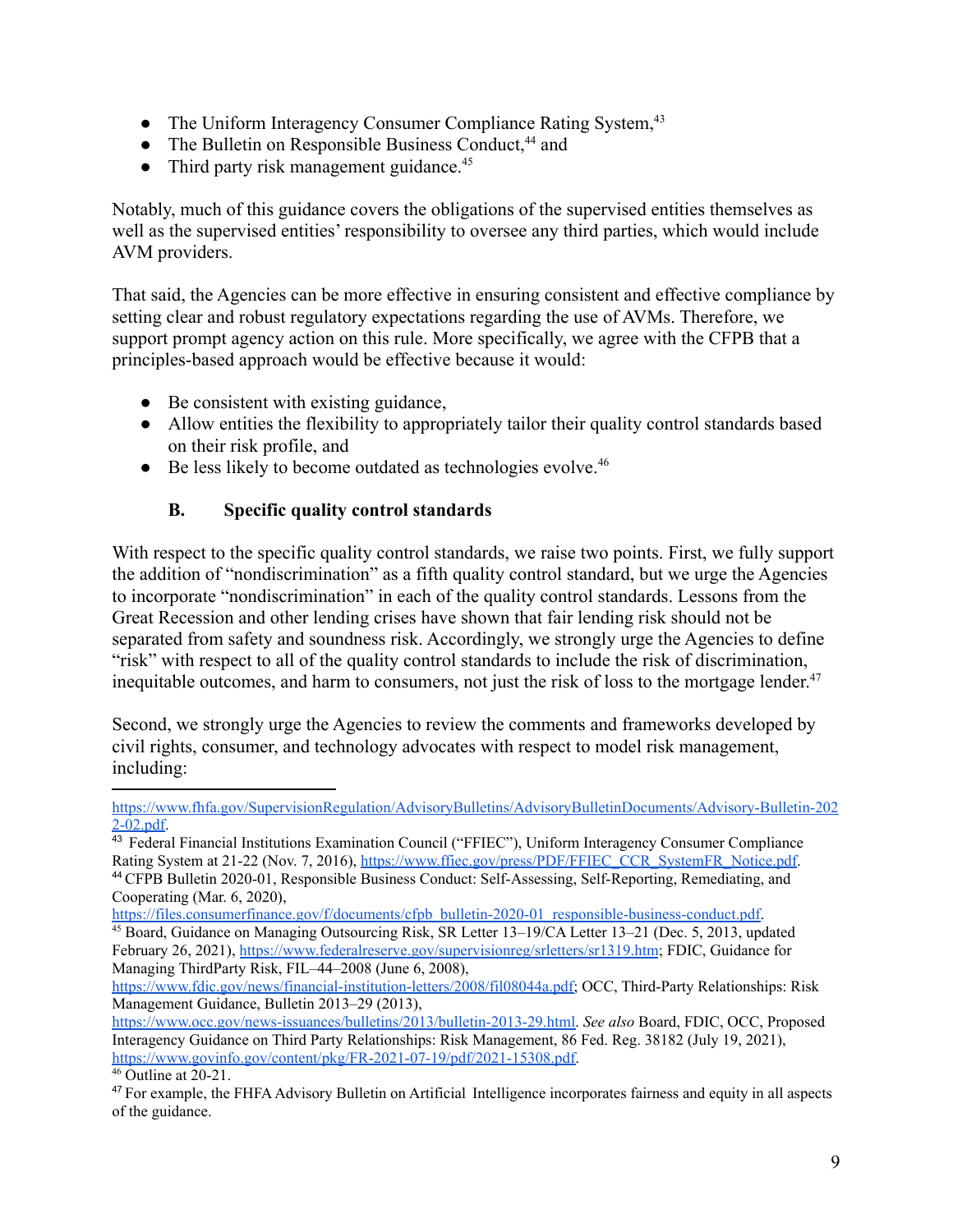- The Uniform Interagency Consumer Compliance Rating System, 43
- The Bulletin on Responsible Business Conduct,  $44$  and
- $\bullet$  Third party risk management guidance.<sup>45</sup>

Notably, much of this guidance covers the obligations of the supervised entities themselves as well as the supervised entities' responsibility to oversee any third parties, which would include AVM providers.

That said, the Agencies can be more effective in ensuring consistent and effective compliance by setting clear and robust regulatory expectations regarding the use of AVMs. Therefore, we support prompt agency action on this rule. More specifically, we agree with the CFPB that a principles-based approach would be effective because it would:

- Be consistent with existing guidance,
- Allow entities the flexibility to appropriately tailor their quality control standards based on their risk profile, and
- $\bullet$  Be less likely to become outdated as technologies evolve.<sup>46</sup>

#### **B. Specific quality control standards**

With respect to the specific quality control standards, we raise two points. First, we fully support the addition of "nondiscrimination" as a fifth quality control standard, but we urge the Agencies to incorporate "nondiscrimination" in each of the quality control standards. Lessons from the Great Recession and other lending crises have shown that fair lending risk should not be separated from safety and soundness risk. Accordingly, we strongly urge the Agencies to define "risk" with respect to all of the quality control standards to include the risk of discrimination, inequitable outcomes, and harm to consumers, not just the risk of loss to the mortgage lender. 47

Second, we strongly urge the Agencies to review the comments and frameworks developed by civil rights, consumer, and technology advocates with respect to model risk management, including:

[https://files.consumerfinance.gov/f/documents/cfpb\\_bulletin-2020-01\\_responsible-business-conduct.pdf.](https://files.consumerfinance.gov/f/documents/cfpb_bulletin-2020-01_responsible-business-conduct.pdf)

[https://www.fhfa.gov/SupervisionRegulation/AdvisoryBulletins/AdvisoryBulletinDocuments/Advisory-Bulletin-202](https://www.fhfa.gov/SupervisionRegulation/AdvisoryBulletins/AdvisoryBulletinDocuments/Advisory-Bulletin-2022-02.pdf) [2-02.pdf](https://www.fhfa.gov/SupervisionRegulation/AdvisoryBulletins/AdvisoryBulletinDocuments/Advisory-Bulletin-2022-02.pdf).

<sup>44</sup> CFPB Bulletin 2020-01, Responsible Business Conduct: Self-Assessing, Self-Reporting, Remediating, and Cooperating (Mar. 6, 2020), <sup>43</sup> Federal Financial Institutions Examination Council ("FFIEC"), Uniform Interagency Consumer Compliance Rating System at 21-22 (Nov. 7, 2016), [https://www.ffiec.gov/press/PDF/FFIEC\\_CCR\\_SystemFR\\_Notice.pdf](https://www.ffiec.gov/press/PDF/FFIEC_CCR_SystemFR_Notice.pdf).

<sup>45</sup> Board, Guidance on Managing Outsourcing Risk, SR Letter 13–19/CA Letter 13–21 (Dec. 5, 2013, updated February 26, 2021), <https://www.federalreserve.gov/supervisionreg/srletters/sr1319.htm>; FDIC, Guidance for Managing ThirdParty Risk, FIL–44–2008 (June 6, 2008),

[https://www.fdic.gov/news/financial-institution-letters/2008/fil08044a.pdf;](https://www.fdic.gov/news/financial-institution-letters/2008/fil08044a.pdf) OCC, Third-Party Relationships: Risk Management Guidance, Bulletin 2013–29 (2013),

[https://www.occ.gov/news-issuances/bulletins/2013/bulletin-2013-29.html.](https://www.occ.gov/news-issuances/bulletins/2013/bulletin-2013-29.html) *See also* Board, FDIC, OCC, Proposed Interagency Guidance on Third Party Relationships: Risk Management, 86 Fed. Reg. 38182 (July 19, 2021), [https://www.govinfo.gov/content/pkg/FR-2021-07-19/pdf/2021-15308.pdf.](https://www.govinfo.gov/content/pkg/FR-2021-07-19/pdf/2021-15308.pdf)

 $46$  Outline at 20-21.

<sup>&</sup>lt;sup>47</sup> For example, the FHFA Advisory Bulletin on Artificial Intelligence incorporates fairness and equity in all aspects of the guidance.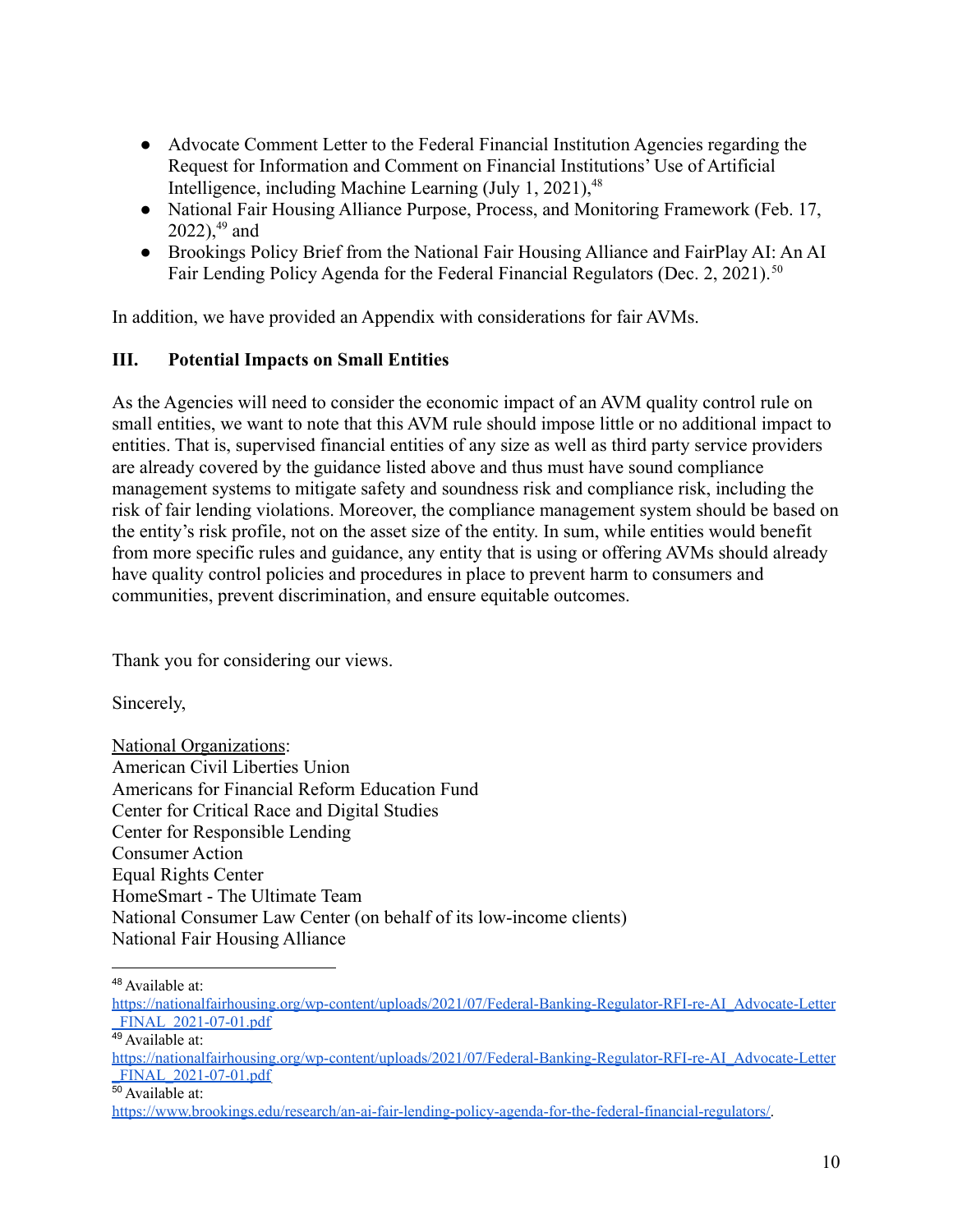- Advocate Comment Letter to the Federal Financial Institution Agencies regarding the Request for Information and Comment on Financial Institutions' Use of Artificial Intelligence, including Machine Learning (July 1, 2021), $48$
- National Fair Housing Alliance Purpose, Process, and Monitoring Framework (Feb. 17,  $2022$ ), <sup>49</sup> and
- Brookings Policy Brief from the National Fair Housing Alliance and FairPlay AI: An AI Fair Lending Policy Agenda for the Federal Financial Regulators (Dec. 2, 2021).<sup>50</sup>

In addition, we have provided an Appendix with considerations for fair AVMs.

## **III. Potential Impacts on Small Entities**

As the Agencies will need to consider the economic impact of an AVM quality control rule on small entities, we want to note that this AVM rule should impose little or no additional impact to entities. That is, supervised financial entities of any size as well as third party service providers are already covered by the guidance listed above and thus must have sound compliance management systems to mitigate safety and soundness risk and compliance risk, including the risk of fair lending violations. Moreover, the compliance management system should be based on the entity's risk profile, not on the asset size of the entity. In sum, while entities would benefit from more specific rules and guidance, any entity that is using or offering AVMs should already have quality control policies and procedures in place to prevent harm to consumers and communities, prevent discrimination, and ensure equitable outcomes.

Thank you for considering our views.

Sincerely,

National Organizations: American Civil Liberties Union Americans for Financial Reform Education Fund Center for Critical Race and Digital Studies Center for Responsible Lending Consumer Action Equal Rights Center HomeSmart - The Ultimate Team National Consumer Law Center (on behalf of its low-income clients) National Fair Housing Alliance

<sup>48</sup> Available at:

49 Available at:

<sup>50</sup> Available at:

[https://nationalfairhousing.org/wp-content/uploads/2021/07/Federal-Banking-Regulator-RFI-re-AI\\_Advocate-Letter](https://nationalfairhousing.org/wp-content/uploads/2021/07/Federal-Banking-Regulator-RFI-re-AI_Advocate-Letter_FINAL_2021-07-01.pdf) FINAL 2021-07-01.pdf

[https://nationalfairhousing.org/wp-content/uploads/2021/07/Federal-Banking-Regulator-RFI-re-AI\\_Advocate-Letter](https://nationalfairhousing.org/wp-content/uploads/2021/07/Federal-Banking-Regulator-RFI-re-AI_Advocate-Letter_FINAL_2021-07-01.pdf) [\\_FINAL\\_2021-07-01.pdf](https://nationalfairhousing.org/wp-content/uploads/2021/07/Federal-Banking-Regulator-RFI-re-AI_Advocate-Letter_FINAL_2021-07-01.pdf).

<https://www.brookings.edu/research/an-ai-fair-lending-policy-agenda-for-the-federal-financial-regulators/>.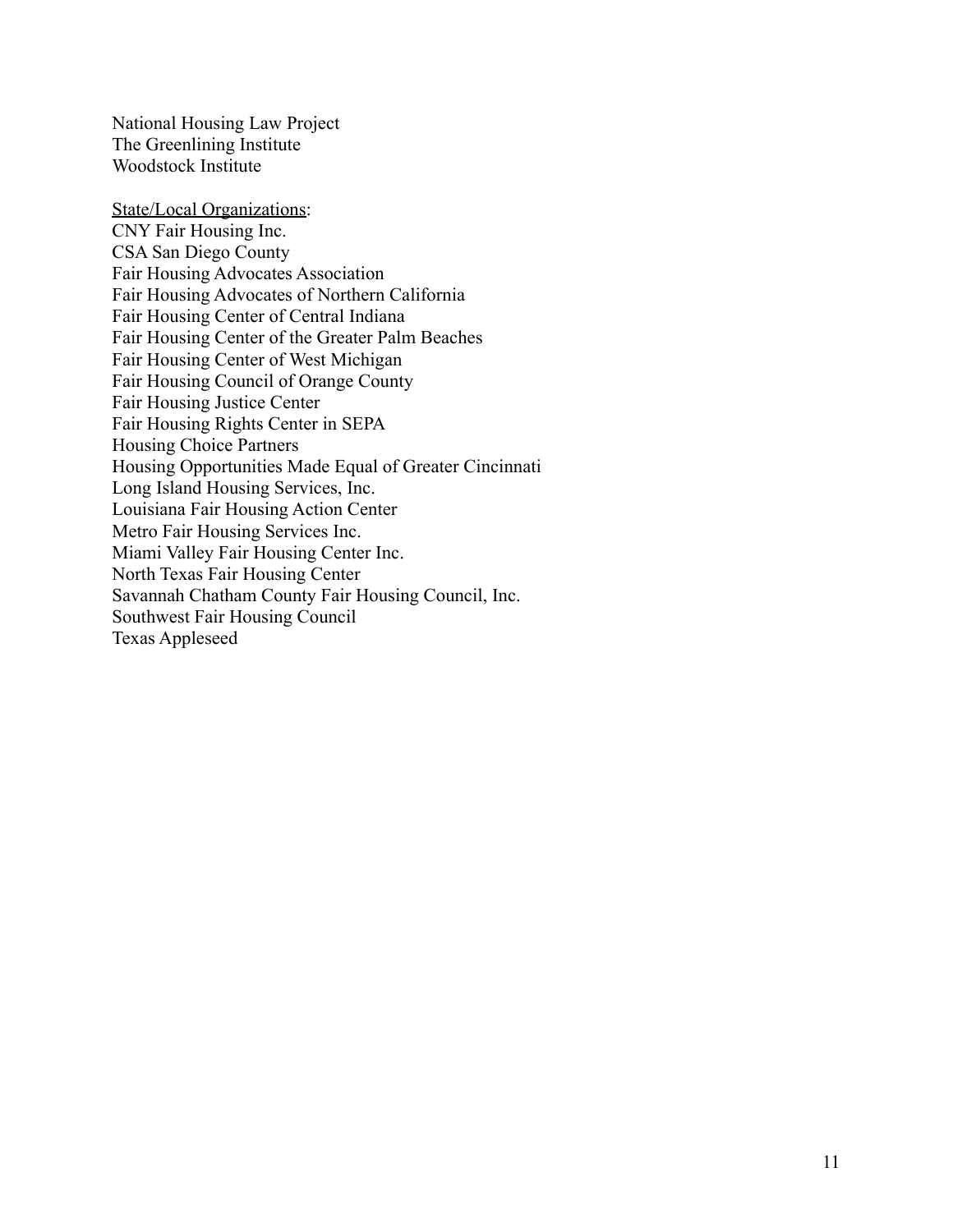National Housing Law Project The Greenlining Institute Woodstock Institute

State/Local Organizations: CNY Fair Housing Inc. CSA San Diego County Fair Housing Advocates Association Fair Housing Advocates of Northern California Fair Housing Center of Central Indiana Fair Housing Center of the Greater Palm Beaches Fair Housing Center of West Michigan Fair Housing Council of Orange County Fair Housing Justice Center Fair Housing Rights Center in SEPA Housing Choice Partners Housing Opportunities Made Equal of Greater Cincinnati Long Island Housing Services, Inc. Louisiana Fair Housing Action Center Metro Fair Housing Services Inc. Miami Valley Fair Housing Center Inc. North Texas Fair Housing Center Savannah Chatham County Fair Housing Council, Inc. Southwest Fair Housing Council Texas Appleseed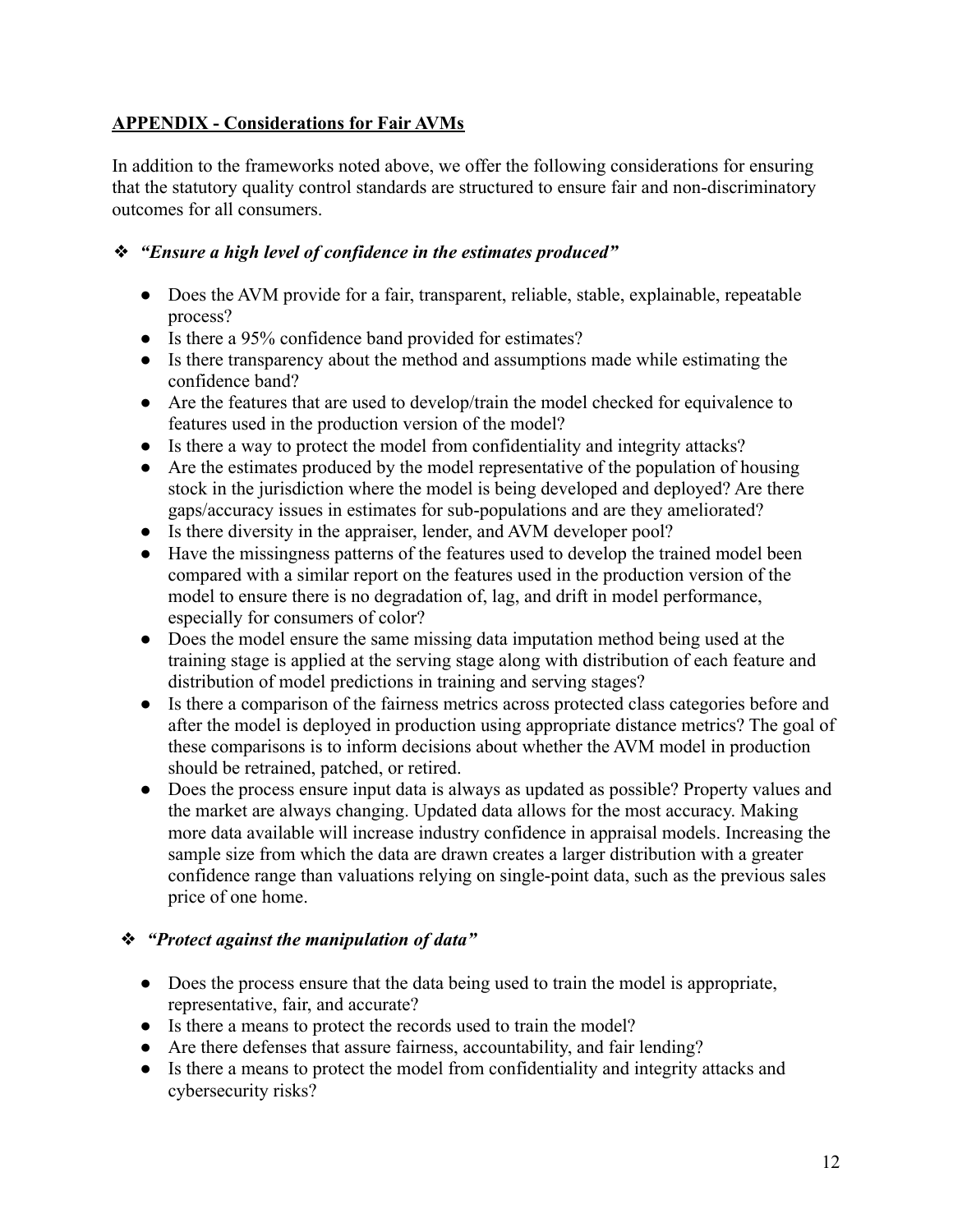# **APPENDIX - Considerations for Fair AVMs**

In addition to the frameworks noted above, we offer the following considerations for ensuring that the statutory quality control standards are structured to ensure fair and non-discriminatory outcomes for all consumers.

#### ❖ *"Ensure a high level of confidence in the estimates produced"*

- Does the AVM provide for a fair, transparent, reliable, stable, explainable, repeatable process?
- Is there a 95% confidence band provided for estimates?
- Is there transparency about the method and assumptions made while estimating the confidence band?
- Are the features that are used to develop/train the model checked for equivalence to features used in the production version of the model?
- Is there a way to protect the model from confidentiality and integrity attacks?
- Are the estimates produced by the model representative of the population of housing stock in the jurisdiction where the model is being developed and deployed? Are there gaps/accuracy issues in estimates for sub-populations and are they ameliorated?
- Is there diversity in the appraiser, lender, and AVM developer pool?
- Have the missingness patterns of the features used to develop the trained model been compared with a similar report on the features used in the production version of the model to ensure there is no degradation of, lag, and drift in model performance, especially for consumers of color?
- Does the model ensure the same missing data imputation method being used at the training stage is applied at the serving stage along with distribution of each feature and distribution of model predictions in training and serving stages?
- Is there a comparison of the fairness metrics across protected class categories before and after the model is deployed in production using appropriate distance metrics? The goal of these comparisons is to inform decisions about whether the AVM model in production should be retrained, patched, or retired.
- Does the process ensure input data is always as updated as possible? Property values and the market are always changing. Updated data allows for the most accuracy. Making more data available will increase industry confidence in appraisal models. Increasing the sample size from which the data are drawn creates a larger distribution with a greater confidence range than valuations relying on single-point data, such as the previous sales price of one home.

## ❖ *"Protect against the manipulation of data"*

- Does the process ensure that the data being used to train the model is appropriate, representative, fair, and accurate?
- Is there a means to protect the records used to train the model?
- Are there defenses that assure fairness, accountability, and fair lending?
- Is there a means to protect the model from confidentiality and integrity attacks and cybersecurity risks?